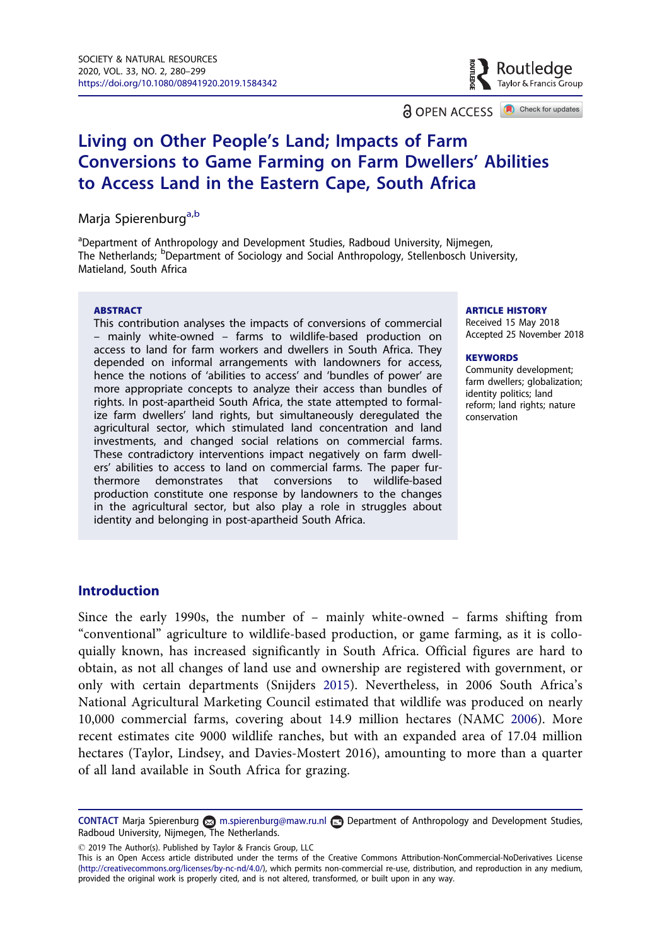**a** OPEN ACCESS **a** Check for updates

# Taylor & Francis Group

Routledge

# <span id="page-0-0"></span>Living on Other People's Land; Impacts of Farm Conversions to Game Farming on Farm Dwellers' Abilities to Access Land in the Eastern Cape, South Africa

Marja Spierenburg<sup>[a,b](#page--1-0)</sup>

<sup>a</sup>Department of Anthropology and Development Studies, Radboud University, Nijmegen, The Netherlands; <sup>b</sup>Department of Sociology and Social Anthropology, Stellenbosch University, Matieland, South Africa

### ABSTRACT

This contribution analyses the impacts of conversions of commercial – mainly white-owned – farms to wildlife-based production on access to land for farm workers and dwellers in South Africa. They depended on informal arrangements with landowners for access, hence the notions of 'abilities to access' and 'bundles of power' are more appropriate concepts to analyze their access than bundles of rights. In post-apartheid South Africa, the state attempted to formalize farm dwellers' land rights, but simultaneously deregulated the agricultural sector, which stimulated land concentration and land investments, and changed social relations on commercial farms. These contradictory interventions impact negatively on farm dwellers' abilities to access to land on commercial farms. The paper furthermore demonstrates that conversions to wildlife-based production constitute one response by landowners to the changes in the agricultural sector, but also play a role in struggles about identity and belonging in post-apartheid South Africa.

#### ARTICLE HISTORY

Received 15 May 2018 Accepted 25 November 2018

#### **KEYWORDS**

Community development; farm dwellers; globalization; identity politics; land reform; land rights; nature conservation

## Introduction

Since the early 1990s, the number of – mainly white-owned – farms shifting from "conventional" agriculture to wildlife-based production, or game farming, as it is colloquially known, has increased significantly in South Africa. Official figures are hard to obtain, as not all changes of land use and ownership are registered with government, or only with certain departments (Snijders [2015](#page-13-0)). Nevertheless, in 2006 South Africa's National Agricultural Marketing Council estimated that wildlife was produced on nearly 10,000 commercial farms, covering about 14.9 million hectares (NAMC [2006](#page-17-0)). More recent estimates cite 9000 wildlife ranches, but with an expanded area of 17.04 million hectares (Taylor, Lindsey, and Davies-Mostert 2016), amounting to more than a quarter of all land available in South Africa for grazing.

2019 The Author(s). Published by Taylor & Francis Group, LLC

This is an Open Access article distributed under the terms of the Creative Commons Attribution-NonCommercial-NoDerivatives License [\(http://creativecommons.org/licenses/by-nc-nd/4.0/](http://creativecommons.org/licenses/by-nc-nd/4.0/)), which permits non-commercial re-use, distribution, and reproduction in any medium, provided the original work is properly cited, and is not altered, transformed, or built upon in any way.

CONTACT Marja Spierenburg m.spierenburg@maw.ru.nl Department of Anthropology and Development Studies, Radboud University, Nijmegen, The Netherlands.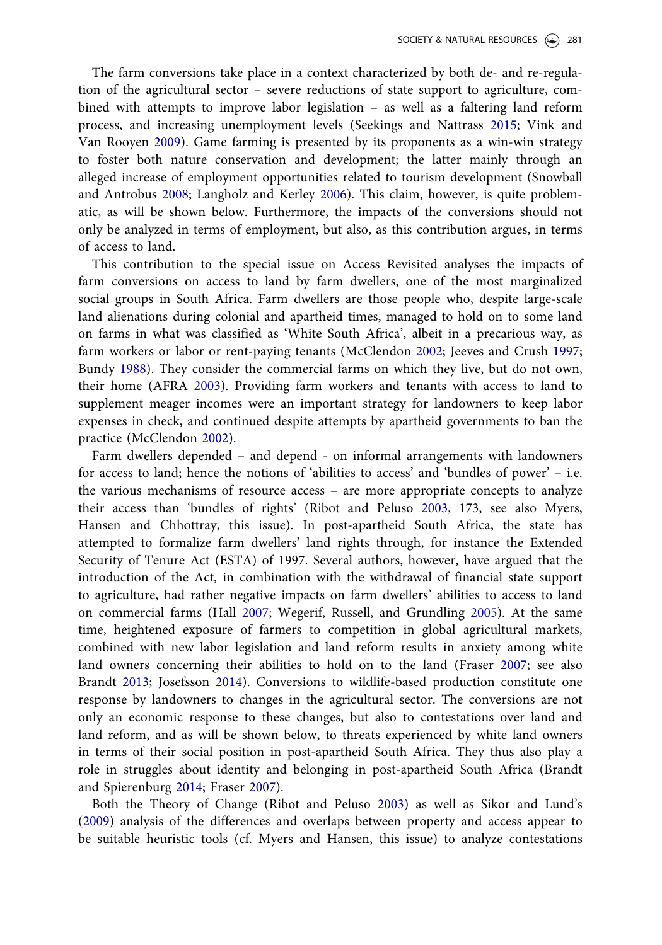<span id="page-1-0"></span>The farm conversions take place in a context characterized by both de- and re-regulation of the agricultural sector – severe reductions of state support to agriculture, combined with attempts to improve labor legislation – as well as a faltering land reform process, and increasing unemployment levels (Seekings and Nattrass [2015;](#page-16-0) Vink and Van Rooyen [2009\)](#page-17-0). Game farming is presented by its proponents as a win-win strategy to foster both nature conservation and development; the latter mainly through an alleged increase of employment opportunities related to tourism development (Snowball and Antrobus [2008;](#page-16-0) Langholz and Kerley [2006\)](#page-14-0). This claim, however, is quite problematic, as will be shown below. Furthermore, the impacts of the conversions should not only be analyzed in terms of employment, but also, as this contribution argues, in terms of access to land.

This contribution to the special issue on Access Revisited analyses the impacts of farm conversions on access to land by farm dwellers, one of the most marginalized social groups in South Africa. Farm dwellers are those people who, despite large-scale land alienations during colonial and apartheid times, managed to hold on to some land on farms in what was classified as 'White South Africa', albeit in a precarious way, as farm workers or labor or rent-paying tenants (McClendon [2002;](#page-12-0) Jeeves and Crush [1997](#page-16-0); Bundy [1988](#page-12-0)). They consider the commercial farms on which they live, but do not own, their home (AFRA [2003\)](#page-14-0). Providing farm workers and tenants with access to land to supplement meager incomes were an important strategy for landowners to keep labor expenses in check, and continued despite attempts by apartheid governments to ban the practice (McClendon [2002\)](#page-12-0).

Farm dwellers depended – and depend - on informal arrangements with landowners for access to land; hence the notions of 'abilities to access' and 'bundles of power' – i.e. the various mechanisms of resource access – are more appropriate concepts to analyze their access than 'bundles of rights' (Ribot and Peluso [2003,](#page-10-0) 173, see also Myers, Hansen and Chhottray, this issue). In post-apartheid South Africa, the state has attempted to formalize farm dwellers' land rights through, for instance the Extended Security of Tenure Act (ESTA) of 1997. Several authors, however, have argued that the introduction of the Act, in combination with the withdrawal of financial state support to agriculture, had rather negative impacts on farm dwellers' abilities to access to land on commercial farms (Hall [2007;](#page-13-0) Wegerif, Russell, and Grundling [2005](#page-18-0)). At the same time, heightened exposure of farmers to competition in global agricultural markets, combined with new labor legislation and land reform results in anxiety among white land owners concerning their abilities to hold on to the land (Fraser [2007](#page-13-0); see also Brandt [2013](#page-9-0); Josefsson [2014](#page-13-0)). Conversions to wildlife-based production constitute one response by landowners to changes in the agricultural sector. The conversions are not only an economic response to these changes, but also to contestations over land and land reform, and as will be shown below, to threats experienced by white land owners in terms of their social position in post-apartheid South Africa. They thus also play a role in struggles about identity and belonging in post-apartheid South Africa (Brandt and Spierenburg [2014](#page-14-0); Fraser [2007\)](#page-13-0).

Both the Theory of Change (Ribot and Peluso [2003\)](#page-10-0) as well as Sikor and Lund's [\(2009](#page-12-0)) analysis of the differences and overlaps between property and access appear to be suitable heuristic tools (cf. Myers and Hansen, this issue) to analyze contestations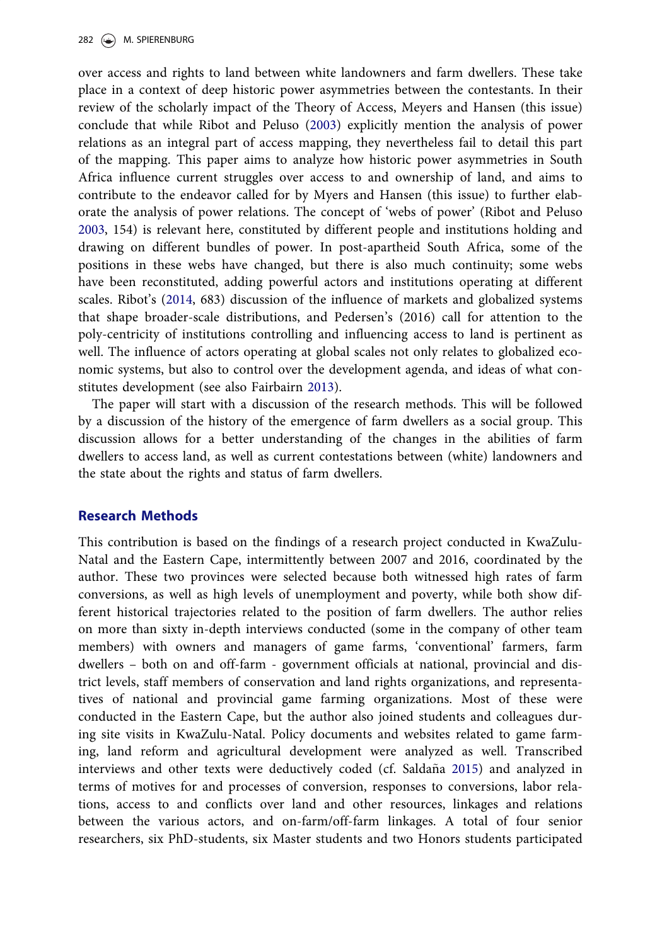<span id="page-2-0"></span>over access and rights to land between white landowners and farm dwellers. These take place in a context of deep historic power asymmetries between the contestants. In their review of the scholarly impact of the Theory of Access, Meyers and Hansen (this issue) conclude that while Ribot and Peluso [\(2003](#page-10-0)) explicitly mention the analysis of power relations as an integral part of access mapping, they nevertheless fail to detail this part of the mapping. This paper aims to analyze how historic power asymmetries in South Africa influence current struggles over access to and ownership of land, and aims to contribute to the endeavor called for by Myers and Hansen (this issue) to further elaborate the analysis of power relations. The concept of 'webs of power' (Ribot and Peluso [2003,](#page-10-0) 154) is relevant here, constituted by different people and institutions holding and drawing on different bundles of power. In post-apartheid South Africa, some of the positions in these webs have changed, but there is also much continuity; some webs have been reconstituted, adding powerful actors and institutions operating at different scales. Ribot's [\(2014](#page-15-0), 683) discussion of the influence of markets and globalized systems that shape broader-scale distributions, and Pedersen's (2016) call for attention to the poly-centricity of institutions controlling and influencing access to land is pertinent as well. The influence of actors operating at global scales not only relates to globalized economic systems, but also to control over the development agenda, and ideas of what constitutes development (see also Fairbairn [2013](#page-16-0)).

The paper will start with a discussion of the research methods. This will be followed by a discussion of the history of the emergence of farm dwellers as a social group. This discussion allows for a better understanding of the changes in the abilities of farm dwellers to access land, as well as current contestations between (white) landowners and the state about the rights and status of farm dwellers.

## Research Methods

This contribution is based on the findings of a research project conducted in KwaZulu-Natal and the Eastern Cape, intermittently between 2007 and 2016, coordinated by the author. These two provinces were selected because both witnessed high rates of farm conversions, as well as high levels of unemployment and poverty, while both show different historical trajectories related to the position of farm dwellers. The author relies on more than sixty in-depth interviews conducted (some in the company of other team members) with owners and managers of game farms, 'conventional' farmers, farm dwellers – both on and off-farm - government officials at national, provincial and district levels, staff members of conservation and land rights organizations, and representatives of national and provincial game farming organizations. Most of these were conducted in the Eastern Cape, but the author also joined students and colleagues during site visits in KwaZulu-Natal. Policy documents and websites related to game farming, land reform and agricultural development were analyzed as well. Transcribed interviews and other texts were deductively coded (cf. Saldaña [2015](#page-17-0)) and analyzed in terms of motives for and processes of conversion, responses to conversions, labor relations, access to and conflicts over land and other resources, linkages and relations between the various actors, and on-farm/off-farm linkages. A total of four senior researchers, six PhD-students, six Master students and two Honors students participated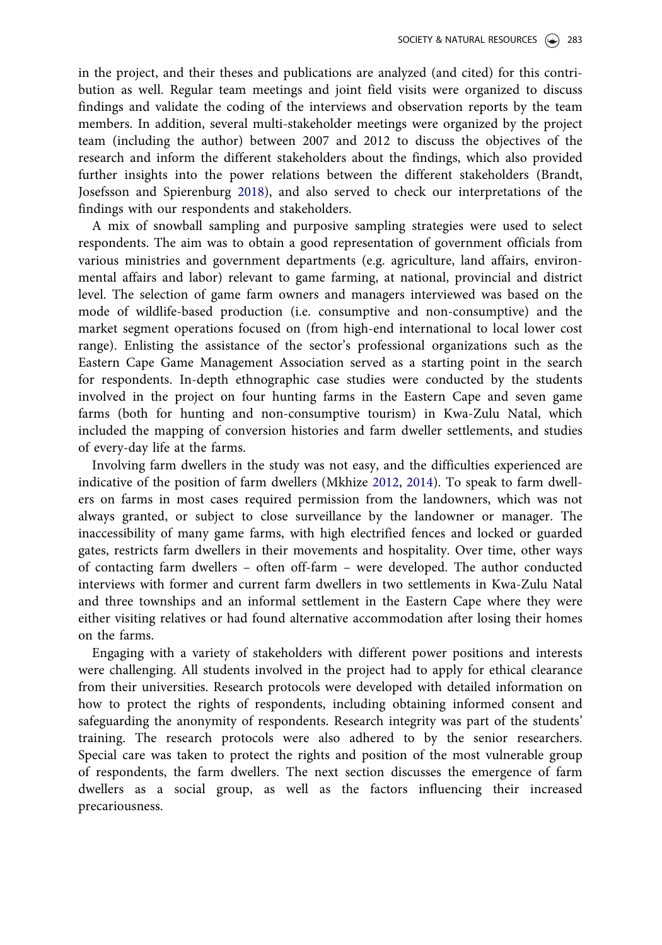<span id="page-3-0"></span>in the project, and their theses and publications are analyzed (and cited) for this contribution as well. Regular team meetings and joint field visits were organized to discuss findings and validate the coding of the interviews and observation reports by the team members. In addition, several multi-stakeholder meetings were organized by the project team (including the author) between 2007 and 2012 to discuss the objectives of the research and inform the different stakeholders about the findings, which also provided further insights into the power relations between the different stakeholders (Brandt, Josefsson and Spierenburg [2018](#page-13-0)), and also served to check our interpretations of the findings with our respondents and stakeholders.

A mix of snowball sampling and purposive sampling strategies were used to select respondents. The aim was to obtain a good representation of government officials from various ministries and government departments (e.g. agriculture, land affairs, environmental affairs and labor) relevant to game farming, at national, provincial and district level. The selection of game farm owners and managers interviewed was based on the mode of wildlife-based production (i.e. consumptive and non-consumptive) and the market segment operations focused on (from high-end international to local lower cost range). Enlisting the assistance of the sector's professional organizations such as the Eastern Cape Game Management Association served as a starting point in the search for respondents. In-depth ethnographic case studies were conducted by the students involved in the project on four hunting farms in the Eastern Cape and seven game farms (both for hunting and non-consumptive tourism) in Kwa-Zulu Natal, which included the mapping of conversion histories and farm dweller settlements, and studies of every-day life at the farms.

Involving farm dwellers in the study was not easy, and the difficulties experienced are indicative of the position of farm dwellers (Mkhize [2012,](#page-16-0) [2014\)](#page-15-0). To speak to farm dwellers on farms in most cases required permission from the landowners, which was not always granted, or subject to close surveillance by the landowner or manager. The inaccessibility of many game farms, with high electrified fences and locked or guarded gates, restricts farm dwellers in their movements and hospitality. Over time, other ways of contacting farm dwellers – often off-farm – were developed. The author conducted interviews with former and current farm dwellers in two settlements in Kwa-Zulu Natal and three townships and an informal settlement in the Eastern Cape where they were either visiting relatives or had found alternative accommodation after losing their homes on the farms.

Engaging with a variety of stakeholders with different power positions and interests were challenging. All students involved in the project had to apply for ethical clearance from their universities. Research protocols were developed with detailed information on how to protect the rights of respondents, including obtaining informed consent and safeguarding the anonymity of respondents. Research integrity was part of the students' training. The research protocols were also adhered to by the senior researchers. Special care was taken to protect the rights and position of the most vulnerable group of respondents, the farm dwellers. The next section discusses the emergence of farm dwellers as a social group, as well as the factors influencing their increased precariousness.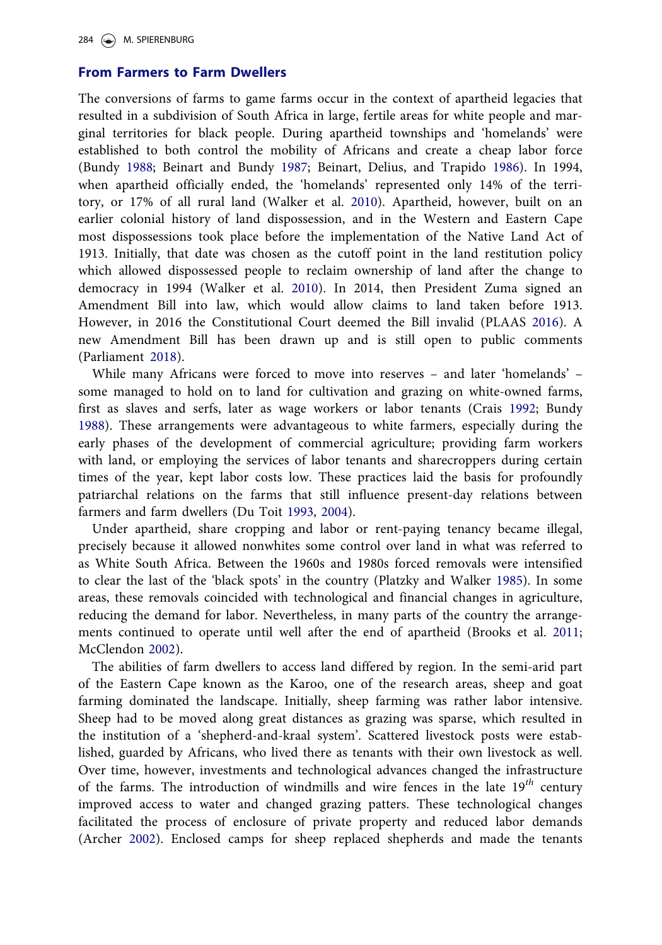## <span id="page-4-0"></span>From Farmers to Farm Dwellers

The conversions of farms to game farms occur in the context of apartheid legacies that resulted in a subdivision of South Africa in large, fertile areas for white people and marginal territories for black people. During apartheid townships and 'homelands' were established to both control the mobility of Africans and create a cheap labor force (Bundy [1988](#page-12-0); Beinart and Bundy [1987](#page-15-0); Beinart, Delius, and Trapido [1986](#page-15-0)). In 1994, when apartheid officially ended, the 'homelands' represented only 14% of the territory, or 17% of all rural land (Walker et al. [2010](#page-16-0)). Apartheid, however, built on an earlier colonial history of land dispossession, and in the Western and Eastern Cape most dispossessions took place before the implementation of the Native Land Act of 1913. Initially, that date was chosen as the cutoff point in the land restitution policy which allowed dispossessed people to reclaim ownership of land after the change to democracy in 1994 (Walker et al. [2010](#page-16-0)). In 2014, then President Zuma signed an Amendment Bill into law, which would allow claims to land taken before 1913. However, in 2016 the Constitutional Court deemed the Bill invalid (PLAAS [2016](#page-13-0)). A new Amendment Bill has been drawn up and is still open to public comments (Parliament [2018\)](#page-17-0).

While many Africans were forced to move into reserves – and later 'homelands' – some managed to hold on to land for cultivation and grazing on white-owned farms, first as slaves and serfs, later as wage workers or labor tenants (Crais [1992;](#page-16-0) Bundy [1988\)](#page-12-0). These arrangements were advantageous to white farmers, especially during the early phases of the development of commercial agriculture; providing farm workers with land, or employing the services of labor tenants and sharecroppers during certain times of the year, kept labor costs low. These practices laid the basis for profoundly patriarchal relations on the farms that still influence present-day relations between farmers and farm dwellers (Du Toit [1993,](#page-16-0) [2004\)](#page-16-0).

Under apartheid, share cropping and labor or rent-paying tenancy became illegal, precisely because it allowed nonwhites some control over land in what was referred to as White South Africa. Between the 1960s and 1980s forced removals were intensified to clear the last of the 'black spots' in the country (Platzky and Walker [1985\)](#page-15-0). In some areas, these removals coincided with technological and financial changes in agriculture, reducing the demand for labor. Nevertheless, in many parts of the country the arrangements continued to operate until well after the end of apartheid (Brooks et al. [2011](#page-10-0); McClendon [2002](#page-12-0)).

The abilities of farm dwellers to access land differed by region. In the semi-arid part of the Eastern Cape known as the Karoo, one of the research areas, sheep and goat farming dominated the landscape. Initially, sheep farming was rather labor intensive. Sheep had to be moved along great distances as grazing was sparse, which resulted in the institution of a 'shepherd-and-kraal system'. Scattered livestock posts were established, guarded by Africans, who lived there as tenants with their own livestock as well. Over time, however, investments and technological advances changed the infrastructure of the farms. The introduction of windmills and wire fences in the late  $19^{th}$  century improved access to water and changed grazing patters. These technological changes facilitated the process of enclosure of private property and reduced labor demands (Archer [2002](#page-14-0)). Enclosed camps for sheep replaced shepherds and made the tenants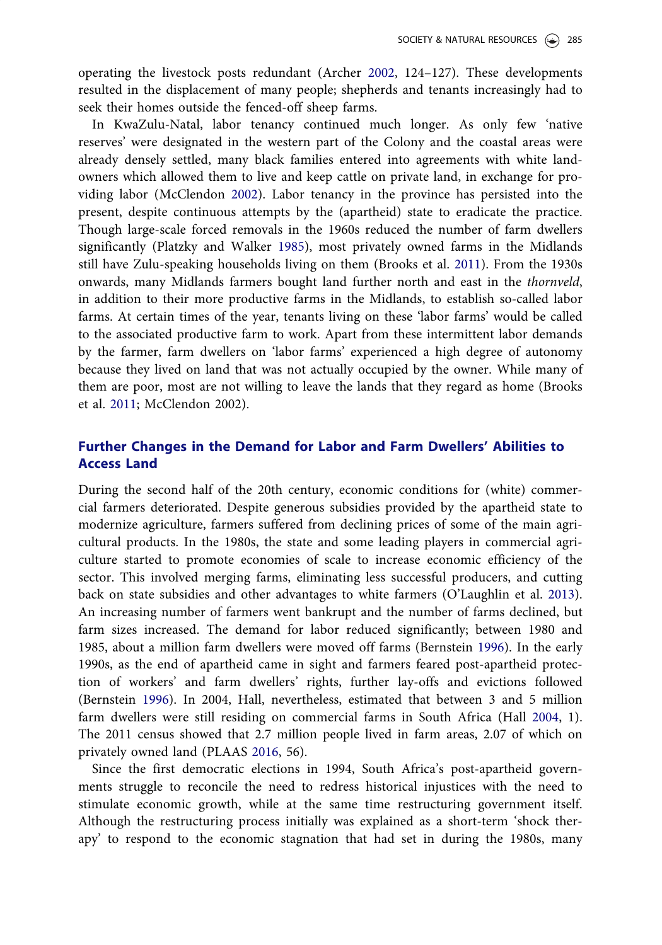<span id="page-5-0"></span>operating the livestock posts redundant (Archer [2002](#page-14-0), 124–127). These developments resulted in the displacement of many people; shepherds and tenants increasingly had to seek their homes outside the fenced-off sheep farms.

In KwaZulu-Natal, labor tenancy continued much longer. As only few 'native reserves' were designated in the western part of the Colony and the coastal areas were already densely settled, many black families entered into agreements with white landowners which allowed them to live and keep cattle on private land, in exchange for providing labor (McClendon [2002](#page-12-0)). Labor tenancy in the province has persisted into the present, despite continuous attempts by the (apartheid) state to eradicate the practice. Though large-scale forced removals in the 1960s reduced the number of farm dwellers significantly (Platzky and Walker [1985\)](#page-15-0), most privately owned farms in the Midlands still have Zulu-speaking households living on them (Brooks et al. [2011](#page-10-0)). From the 1930s onwards, many Midlands farmers bought land further north and east in the thornveld, in addition to their more productive farms in the Midlands, to establish so-called labor farms. At certain times of the year, tenants living on these 'labor farms' would be called to the associated productive farm to work. Apart from these intermittent labor demands by the farmer, farm dwellers on 'labor farms' experienced a high degree of autonomy because they lived on land that was not actually occupied by the owner. While many of them are poor, most are not willing to leave the lands that they regard as home (Brooks et al. [2011;](#page-10-0) McClendon 2002).

# Further Changes in the Demand for Labor and Farm Dwellers' Abilities to Access Land

During the second half of the 20th century, economic conditions for (white) commercial farmers deteriorated. Despite generous subsidies provided by the apartheid state to modernize agriculture, farmers suffered from declining prices of some of the main agricultural products. In the 1980s, the state and some leading players in commercial agriculture started to promote economies of scale to increase economic efficiency of the sector. This involved merging farms, eliminating less successful producers, and cutting back on state subsidies and other advantages to white farmers (O'Laughlin et al. [2013](#page-17-0)). An increasing number of farmers went bankrupt and the number of farms declined, but farm sizes increased. The demand for labor reduced significantly; between 1980 and 1985, about a million farm dwellers were moved off farms (Bernstein [1996\)](#page-13-0). In the early 1990s, as the end of apartheid came in sight and farmers feared post-apartheid protection of workers' and farm dwellers' rights, further lay-offs and evictions followed (Bernstein [1996\)](#page-13-0). In 2004, Hall, nevertheless, estimated that between 3 and 5 million farm dwellers were still residing on commercial farms in South Africa (Hall [2004](#page-14-0), 1). The 2011 census showed that 2.7 million people lived in farm areas, 2.07 of which on privately owned land (PLAAS [2016](#page-13-0), 56).

Since the first democratic elections in 1994, South Africa's post-apartheid governments struggle to reconcile the need to redress historical injustices with the need to stimulate economic growth, while at the same time restructuring government itself. Although the restructuring process initially was explained as a short-term 'shock therapy' to respond to the economic stagnation that had set in during the 1980s, many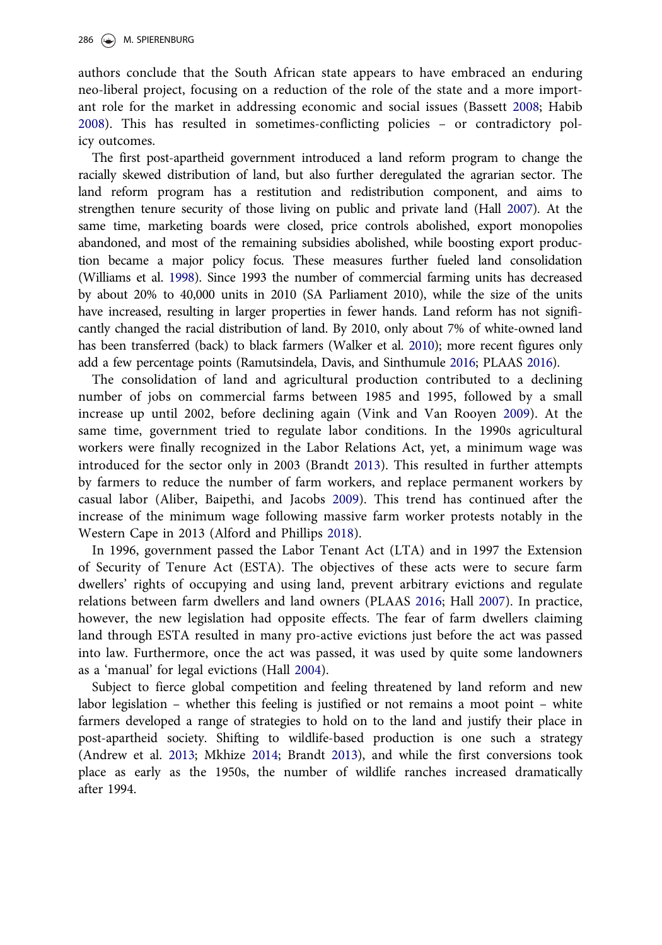<span id="page-6-0"></span>authors conclude that the South African state appears to have embraced an enduring neo-liberal project, focusing on a reduction of the role of the state and a more important role for the market in addressing economic and social issues (Bassett [2008;](#page-15-0) Habib [2008\)](#page-16-0). This has resulted in sometimes-conflicting policies – or contradictory policy outcomes.

The first post-apartheid government introduced a land reform program to change the racially skewed distribution of land, but also further deregulated the agrarian sector. The land reform program has a restitution and redistribution component, and aims to strengthen tenure security of those living on public and private land (Hall [2007\)](#page-13-0). At the same time, marketing boards were closed, price controls abolished, export monopolies abandoned, and most of the remaining subsidies abolished, while boosting export production became a major policy focus. These measures further fueled land consolidation (Williams et al. [1998\)](#page-17-0). Since 1993 the number of commercial farming units has decreased by about 20% to 40,000 units in 2010 (SA Parliament 2010), while the size of the units have increased, resulting in larger properties in fewer hands. Land reform has not significantly changed the racial distribution of land. By 2010, only about 7% of white-owned land has been transferred (back) to black farmers (Walker et al. [2010\)](#page-16-0); more recent figures only add a few percentage points (Ramutsindela, Davis, and Sinthumule [2016;](#page-16-0) PLAAS [2016\)](#page-13-0).

The consolidation of land and agricultural production contributed to a declining number of jobs on commercial farms between 1985 and 1995, followed by a small increase up until 2002, before declining again (Vink and Van Rooyen [2009](#page-17-0)). At the same time, government tried to regulate labor conditions. In the 1990s agricultural workers were finally recognized in the Labor Relations Act, yet, a minimum wage was introduced for the sector only in 2003 (Brandt [2013\)](#page-9-0). This resulted in further attempts by farmers to reduce the number of farm workers, and replace permanent workers by casual labor (Aliber, Baipethi, and Jacobs [2009](#page-15-0)). This trend has continued after the increase of the minimum wage following massive farm worker protests notably in the Western Cape in 2013 (Alford and Phillips [2018](#page-15-0)).

In 1996, government passed the Labor Tenant Act (LTA) and in 1997 the Extension of Security of Tenure Act (ESTA). The objectives of these acts were to secure farm dwellers' rights of occupying and using land, prevent arbitrary evictions and regulate relations between farm dwellers and land owners (PLAAS [2016](#page-13-0); Hall [2007\)](#page-13-0). In practice, however, the new legislation had opposite effects. The fear of farm dwellers claiming land through ESTA resulted in many pro-active evictions just before the act was passed into law. Furthermore, once the act was passed, it was used by quite some landowners as a 'manual' for legal evictions (Hall [2004\)](#page-14-0).

Subject to fierce global competition and feeling threatened by land reform and new labor legislation – whether this feeling is justified or not remains a moot point – white farmers developed a range of strategies to hold on to the land and justify their place in post-apartheid society. Shifting to wildlife-based production is one such a strategy (Andrew et al. [2013](#page-11-0); Mkhize [2014;](#page-15-0) Brandt [2013](#page-9-0)), and while the first conversions took place as early as the 1950s, the number of wildlife ranches increased dramatically after 1994.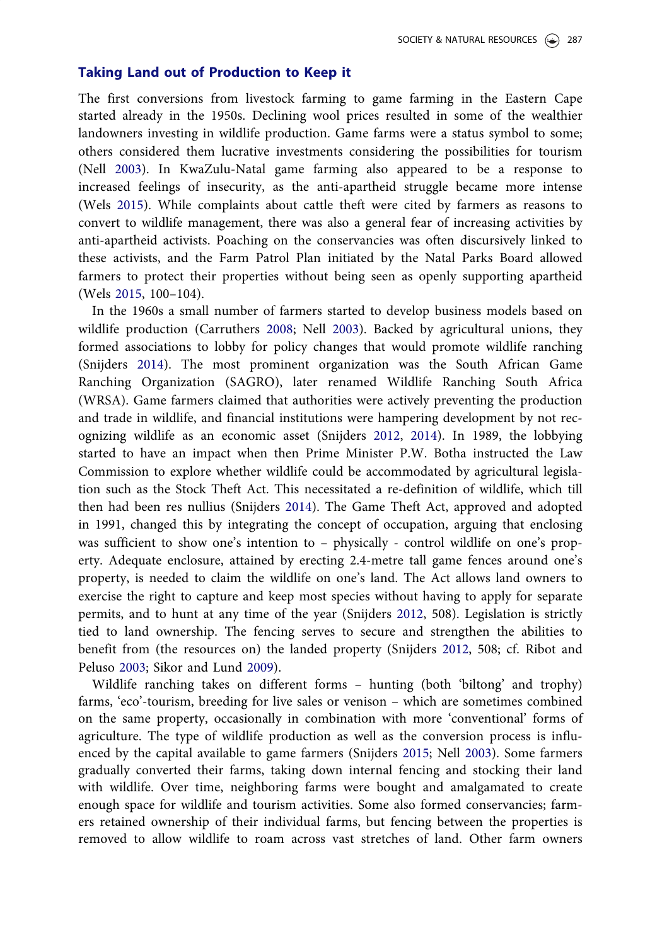## Taking Land out of Production to Keep it

The first conversions from livestock farming to game farming in the Eastern Cape started already in the 1950s. Declining wool prices resulted in some of the wealthier landowners investing in wildlife production. Game farms were a status symbol to some; others considered them lucrative investments considering the possibilities for tourism (Nell [2003\)](#page-15-0). In KwaZulu-Natal game farming also appeared to be a response to increased feelings of insecurity, as the anti-apartheid struggle became more intense (Wels [2015](#page-16-0)). While complaints about cattle theft were cited by farmers as reasons to convert to wildlife management, there was also a general fear of increasing activities by anti-apartheid activists. Poaching on the conservancies was often discursively linked to these activists, and the Farm Patrol Plan initiated by the Natal Parks Board allowed farmers to protect their properties without being seen as openly supporting apartheid (Wels [2015,](#page-16-0) 100–104).

In the 1960s a small number of farmers started to develop business models based on wildlife production (Carruthers [2008](#page-15-0); Nell [2003](#page-15-0)). Backed by agricultural unions, they formed associations to lobby for policy changes that would promote wildlife ranching (Snijders [2014\)](#page-11-0). The most prominent organization was the South African Game Ranching Organization (SAGRO), later renamed Wildlife Ranching South Africa (WRSA). Game farmers claimed that authorities were actively preventing the production and trade in wildlife, and financial institutions were hampering development by not recognizing wildlife as an economic asset (Snijders [2012,](#page-15-0) [2014\)](#page-11-0). In 1989, the lobbying started to have an impact when then Prime Minister P.W. Botha instructed the Law Commission to explore whether wildlife could be accommodated by agricultural legislation such as the Stock Theft Act. This necessitated a re-definition of wildlife, which till then had been res nullius (Snijders [2014](#page-11-0)). The Game Theft Act, approved and adopted in 1991, changed this by integrating the concept of occupation, arguing that enclosing was sufficient to show one's intention to – physically - control wildlife on one's property. Adequate enclosure, attained by erecting 2.4-metre tall game fences around one's property, is needed to claim the wildlife on one's land. The Act allows land owners to exercise the right to capture and keep most species without having to apply for separate permits, and to hunt at any time of the year (Snijders [2012](#page-15-0), 508). Legislation is strictly tied to land ownership. The fencing serves to secure and strengthen the abilities to benefit from (the resources on) the landed property (Snijders [2012,](#page-15-0) 508; cf. Ribot and Peluso [2003;](#page-10-0) Sikor and Lund [2009](#page-12-0)).

Wildlife ranching takes on different forms – hunting (both 'biltong' and trophy) farms, 'eco'-tourism, breeding for live sales or venison – which are sometimes combined on the same property, occasionally in combination with more 'conventional' forms of agriculture. The type of wildlife production as well as the conversion process is influenced by the capital available to game farmers (Snijders [2015;](#page-13-0) Nell [2003](#page-15-0)). Some farmers gradually converted their farms, taking down internal fencing and stocking their land with wildlife. Over time, neighboring farms were bought and amalgamated to create enough space for wildlife and tourism activities. Some also formed conservancies; farmers retained ownership of their individual farms, but fencing between the properties is removed to allow wildlife to roam across vast stretches of land. Other farm owners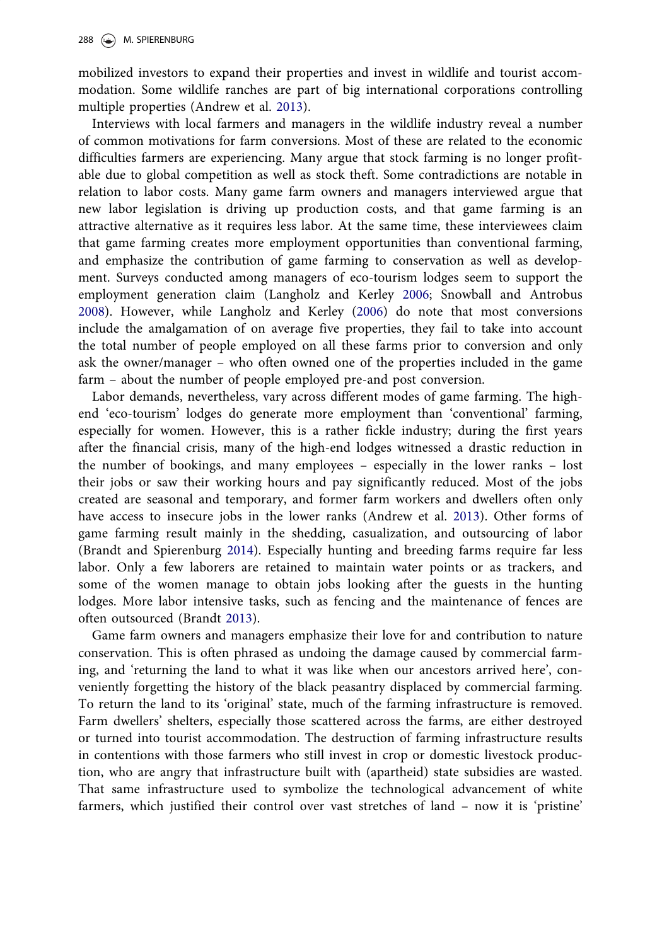<span id="page-8-0"></span>mobilized investors to expand their properties and invest in wildlife and tourist accommodation. Some wildlife ranches are part of big international corporations controlling multiple properties (Andrew et al. [2013\)](#page-11-0).

Interviews with local farmers and managers in the wildlife industry reveal a number of common motivations for farm conversions. Most of these are related to the economic difficulties farmers are experiencing. Many argue that stock farming is no longer profitable due to global competition as well as stock theft. Some contradictions are notable in relation to labor costs. Many game farm owners and managers interviewed argue that new labor legislation is driving up production costs, and that game farming is an attractive alternative as it requires less labor. At the same time, these interviewees claim that game farming creates more employment opportunities than conventional farming, and emphasize the contribution of game farming to conservation as well as development. Surveys conducted among managers of eco-tourism lodges seem to support the employment generation claim (Langholz and Kerley [2006;](#page-14-0) Snowball and Antrobus [2008\)](#page-16-0). However, while Langholz and Kerley ([2006\)](#page-14-0) do note that most conversions include the amalgamation of on average five properties, they fail to take into account the total number of people employed on all these farms prior to conversion and only ask the owner/manager – who often owned one of the properties included in the game farm – about the number of people employed pre-and post conversion.

Labor demands, nevertheless, vary across different modes of game farming. The highend 'eco-tourism' lodges do generate more employment than 'conventional' farming, especially for women. However, this is a rather fickle industry; during the first years after the financial crisis, many of the high-end lodges witnessed a drastic reduction in the number of bookings, and many employees – especially in the lower ranks – lost their jobs or saw their working hours and pay significantly reduced. Most of the jobs created are seasonal and temporary, and former farm workers and dwellers often only have access to insecure jobs in the lower ranks (Andrew et al. [2013](#page-11-0)). Other forms of game farming result mainly in the shedding, casualization, and outsourcing of labor (Brandt and Spierenburg [2014](#page-14-0)). Especially hunting and breeding farms require far less labor. Only a few laborers are retained to maintain water points or as trackers, and some of the women manage to obtain jobs looking after the guests in the hunting lodges. More labor intensive tasks, such as fencing and the maintenance of fences are often outsourced (Brandt [2013](#page-9-0)).

Game farm owners and managers emphasize their love for and contribution to nature conservation. This is often phrased as undoing the damage caused by commercial farming, and 'returning the land to what it was like when our ancestors arrived here', conveniently forgetting the history of the black peasantry displaced by commercial farming. To return the land to its 'original' state, much of the farming infrastructure is removed. Farm dwellers' shelters, especially those scattered across the farms, are either destroyed or turned into tourist accommodation. The destruction of farming infrastructure results in contentions with those farmers who still invest in crop or domestic livestock production, who are angry that infrastructure built with (apartheid) state subsidies are wasted. That same infrastructure used to symbolize the technological advancement of white farmers, which justified their control over vast stretches of land – now it is 'pristine'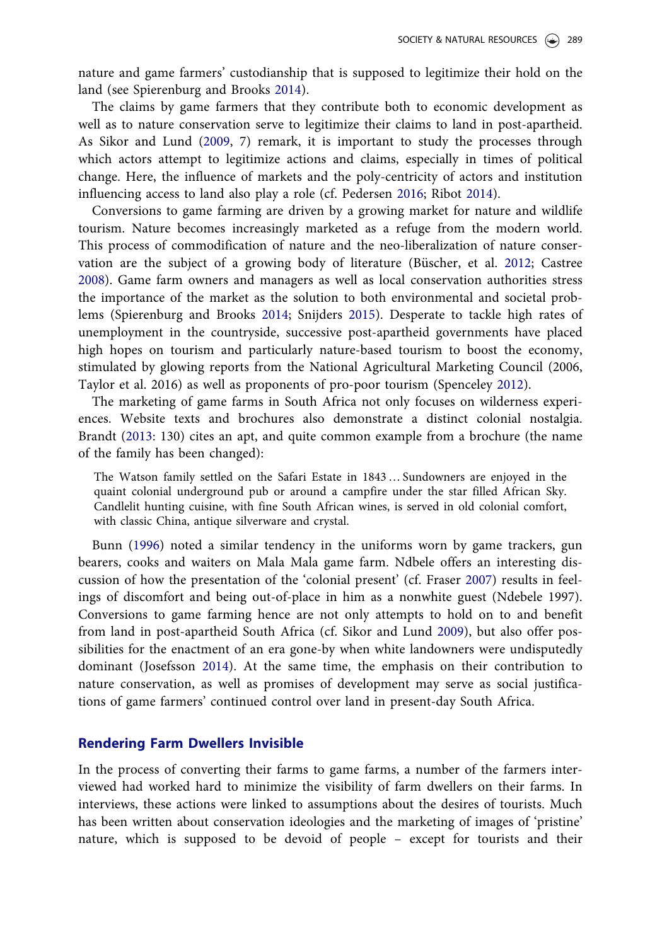<span id="page-9-0"></span>nature and game farmers' custodianship that is supposed to legitimize their hold on the land (see Spierenburg and Brooks [2014](#page-17-0)).

The claims by game farmers that they contribute both to economic development as well as to nature conservation serve to legitimize their claims to land in post-apartheid. As Sikor and Lund ([2009](#page-12-0), 7) remark, it is important to study the processes through which actors attempt to legitimize actions and claims, especially in times of political change. Here, the influence of markets and the poly-centricity of actors and institution influencing access to land also play a role (cf. Pedersen [2016](#page-16-0); Ribot [2014](#page-15-0)).

Conversions to game farming are driven by a growing market for nature and wildlife tourism. Nature becomes increasingly marketed as a refuge from the modern world. This process of commodification of nature and the neo-liberalization of nature conser-vation are the subject of a growing body of literature (Büscher, et al. [2012](#page-15-0); Castree [2008\)](#page-15-0). Game farm owners and managers as well as local conservation authorities stress the importance of the market as the solution to both environmental and societal problems (Spierenburg and Brooks [2014;](#page-17-0) Snijders [2015\)](#page-13-0). Desperate to tackle high rates of unemployment in the countryside, successive post-apartheid governments have placed high hopes on tourism and particularly nature-based tourism to boost the economy, stimulated by glowing reports from the National Agricultural Marketing Council (2006, Taylor et al. 2016) as well as proponents of pro-poor tourism (Spenceley [2012\)](#page-18-0).

The marketing of game farms in South Africa not only focuses on wilderness experiences. Website texts and brochures also demonstrate a distinct colonial nostalgia. Brandt (2013: 130) cites an apt, and quite common example from a brochure (the name of the family has been changed):

The Watson family settled on the Safari Estate in 1843 … Sundowners are enjoyed in the quaint colonial underground pub or around a campfire under the star filled African Sky. Candlelit hunting cuisine, with fine South African wines, is served in old colonial comfort, with classic China, antique silverware and crystal.

Bunn [\(1996](#page-15-0)) noted a similar tendency in the uniforms worn by game trackers, gun bearers, cooks and waiters on Mala Mala game farm. Ndbele offers an interesting discussion of how the presentation of the 'colonial present' (cf. Fraser [2007\)](#page-13-0) results in feelings of discomfort and being out-of-place in him as a nonwhite guest (Ndebele 1997). Conversions to game farming hence are not only attempts to hold on to and benefit from land in post-apartheid South Africa (cf. Sikor and Lund [2009](#page-12-0)), but also offer possibilities for the enactment of an era gone-by when white landowners were undisputedly dominant (Josefsson [2014](#page-13-0)). At the same time, the emphasis on their contribution to nature conservation, as well as promises of development may serve as social justifications of game farmers' continued control over land in present-day South Africa.

## Rendering Farm Dwellers Invisible

In the process of converting their farms to game farms, a number of the farmers interviewed had worked hard to minimize the visibility of farm dwellers on their farms. In interviews, these actions were linked to assumptions about the desires of tourists. Much has been written about conservation ideologies and the marketing of images of 'pristine' nature, which is supposed to be devoid of people – except for tourists and their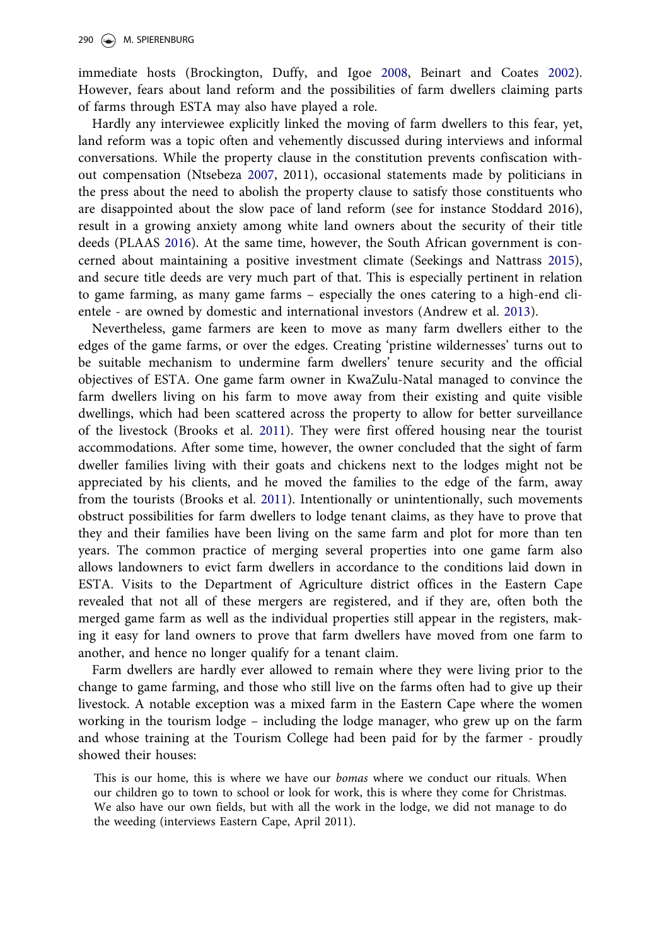<span id="page-10-0"></span>immediate hosts (Brockington, Duffy, and Igoe [2008](#page-15-0), Beinart and Coates [2002](#page-15-0)). However, fears about land reform and the possibilities of farm dwellers claiming parts of farms through ESTA may also have played a role.

Hardly any interviewee explicitly linked the moving of farm dwellers to this fear, yet, land reform was a topic often and vehemently discussed during interviews and informal conversations. While the property clause in the constitution prevents confiscation without compensation (Ntsebeza [2007,](#page-16-0) 2011), occasional statements made by politicians in the press about the need to abolish the property clause to satisfy those constituents who are disappointed about the slow pace of land reform (see for instance Stoddard 2016), result in a growing anxiety among white land owners about the security of their title deeds (PLAAS [2016](#page-13-0)). At the same time, however, the South African government is concerned about maintaining a positive investment climate (Seekings and Nattrass [2015](#page-16-0)), and secure title deeds are very much part of that. This is especially pertinent in relation to game farming, as many game farms – especially the ones catering to a high-end clientele - are owned by domestic and international investors (Andrew et al. [2013\)](#page-11-0).

Nevertheless, game farmers are keen to move as many farm dwellers either to the edges of the game farms, or over the edges. Creating 'pristine wildernesses' turns out to be suitable mechanism to undermine farm dwellers' tenure security and the official objectives of ESTA. One game farm owner in KwaZulu-Natal managed to convince the farm dwellers living on his farm to move away from their existing and quite visible dwellings, which had been scattered across the property to allow for better surveillance of the livestock (Brooks et al. 2011). They were first offered housing near the tourist accommodations. After some time, however, the owner concluded that the sight of farm dweller families living with their goats and chickens next to the lodges might not be appreciated by his clients, and he moved the families to the edge of the farm, away from the tourists (Brooks et al. 2011). Intentionally or unintentionally, such movements obstruct possibilities for farm dwellers to lodge tenant claims, as they have to prove that they and their families have been living on the same farm and plot for more than ten years. The common practice of merging several properties into one game farm also allows landowners to evict farm dwellers in accordance to the conditions laid down in ESTA. Visits to the Department of Agriculture district offices in the Eastern Cape revealed that not all of these mergers are registered, and if they are, often both the merged game farm as well as the individual properties still appear in the registers, making it easy for land owners to prove that farm dwellers have moved from one farm to another, and hence no longer qualify for a tenant claim.

Farm dwellers are hardly ever allowed to remain where they were living prior to the change to game farming, and those who still live on the farms often had to give up their livestock. A notable exception was a mixed farm in the Eastern Cape where the women working in the tourism lodge – including the lodge manager, who grew up on the farm and whose training at the Tourism College had been paid for by the farmer - proudly showed their houses:

This is our home, this is where we have our *bomas* where we conduct our rituals. When our children go to town to school or look for work, this is where they come for Christmas. We also have our own fields, but with all the work in the lodge, we did not manage to do the weeding (interviews Eastern Cape, April 2011).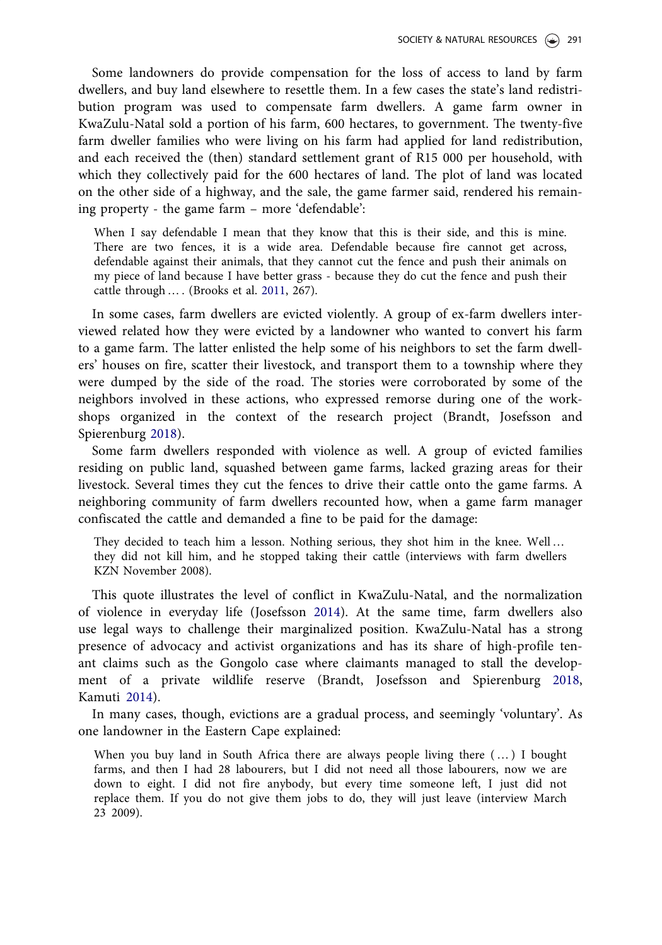<span id="page-11-0"></span>Some landowners do provide compensation for the loss of access to land by farm dwellers, and buy land elsewhere to resettle them. In a few cases the state's land redistribution program was used to compensate farm dwellers. A game farm owner in KwaZulu-Natal sold a portion of his farm, 600 hectares, to government. The twenty-five farm dweller families who were living on his farm had applied for land redistribution, and each received the (then) standard settlement grant of R15 000 per household, with which they collectively paid for the 600 hectares of land. The plot of land was located on the other side of a highway, and the sale, the game farmer said, rendered his remaining property - the game farm – more 'defendable':

When I say defendable I mean that they know that this is their side, and this is mine. There are two fences, it is a wide area. Defendable because fire cannot get across, defendable against their animals, that they cannot cut the fence and push their animals on my piece of land because I have better grass - because they do cut the fence and push their cattle through … . (Brooks et al. [2011](#page-10-0), 267).

In some cases, farm dwellers are evicted violently. A group of ex-farm dwellers interviewed related how they were evicted by a landowner who wanted to convert his farm to a game farm. The latter enlisted the help some of his neighbors to set the farm dwellers' houses on fire, scatter their livestock, and transport them to a township where they were dumped by the side of the road. The stories were corroborated by some of the neighbors involved in these actions, who expressed remorse during one of the workshops organized in the context of the research project (Brandt, Josefsson and Spierenburg [2018\)](#page-13-0).

Some farm dwellers responded with violence as well. A group of evicted families residing on public land, squashed between game farms, lacked grazing areas for their livestock. Several times they cut the fences to drive their cattle onto the game farms. A neighboring community of farm dwellers recounted how, when a game farm manager confiscated the cattle and demanded a fine to be paid for the damage:

They decided to teach him a lesson. Nothing serious, they shot him in the knee. Well … they did not kill him, and he stopped taking their cattle (interviews with farm dwellers KZN November 2008).

This quote illustrates the level of conflict in KwaZulu-Natal, and the normalization of violence in everyday life (Josefsson [2014](#page-13-0)). At the same time, farm dwellers also use legal ways to challenge their marginalized position. KwaZulu-Natal has a strong presence of advocacy and activist organizations and has its share of high-profile tenant claims such as the Gongolo case where claimants managed to stall the development of a private wildlife reserve (Brandt, Josefsson and Spierenburg [2018](#page-13-0), Kamuti [2014](#page-15-0)).

In many cases, though, evictions are a gradual process, and seemingly 'voluntary'. As one landowner in the Eastern Cape explained:

When you buy land in South Africa there are always people living there ( … ) I bought farms, and then I had 28 labourers, but I did not need all those labourers, now we are down to eight. I did not fire anybody, but every time someone left, I just did not replace them. If you do not give them jobs to do, they will just leave (interview March 23 2009).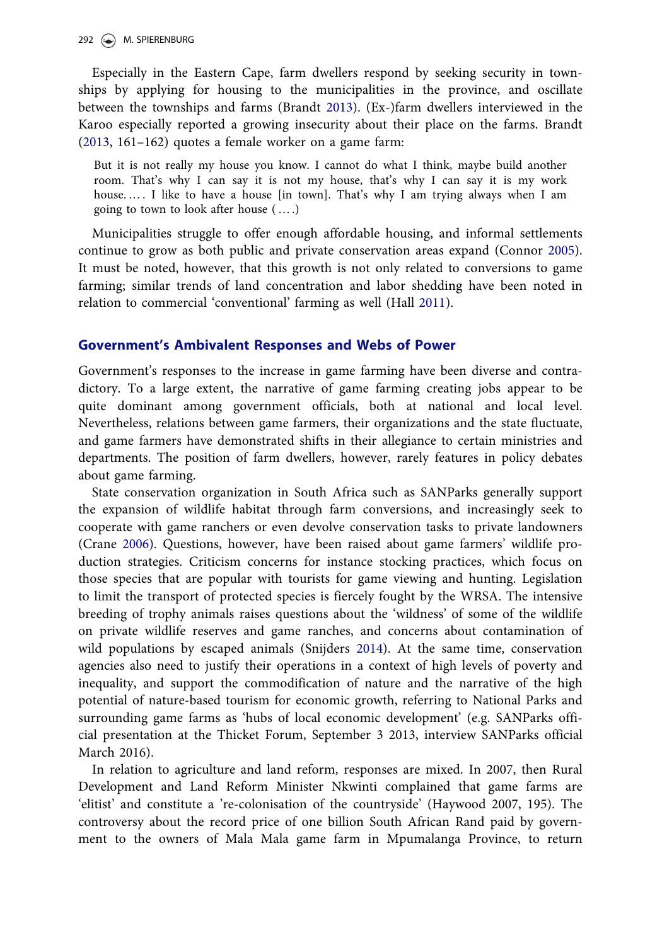<span id="page-12-0"></span>292 (C) M. SPIERENBURG

Especially in the Eastern Cape, farm dwellers respond by seeking security in townships by applying for housing to the municipalities in the province, and oscillate between the townships and farms (Brandt [2013\)](#page-9-0). (Ex-)farm dwellers interviewed in the Karoo especially reported a growing insecurity about their place on the farms. Brandt [\(2013](#page-9-0), 161–162) quotes a female worker on a game farm:

But it is not really my house you know. I cannot do what I think, maybe build another room. That's why I can say it is not my house, that's why I can say it is my work house. … . I like to have a house [in town]. That's why I am trying always when I am going to town to look after house ( … .)

Municipalities struggle to offer enough affordable housing, and informal settlements continue to grow as both public and private conservation areas expand (Connor [2005](#page-16-0)). It must be noted, however, that this growth is not only related to conversions to game farming; similar trends of land concentration and labor shedding have been noted in relation to commercial 'conventional' farming as well (Hall [2011](#page-16-0)).

## Government's Ambivalent Responses and Webs of Power

Government's responses to the increase in game farming have been diverse and contradictory. To a large extent, the narrative of game farming creating jobs appear to be quite dominant among government officials, both at national and local level. Nevertheless, relations between game farmers, their organizations and the state fluctuate, and game farmers have demonstrated shifts in their allegiance to certain ministries and departments. The position of farm dwellers, however, rarely features in policy debates about game farming.

State conservation organization in South Africa such as SANParks generally support the expansion of wildlife habitat through farm conversions, and increasingly seek to cooperate with game ranchers or even devolve conservation tasks to private landowners (Crane [2006](#page-16-0)). Questions, however, have been raised about game farmers' wildlife production strategies. Criticism concerns for instance stocking practices, which focus on those species that are popular with tourists for game viewing and hunting. Legislation to limit the transport of protected species is fiercely fought by the WRSA. The intensive breeding of trophy animals raises questions about the 'wildness' of some of the wildlife on private wildlife reserves and game ranches, and concerns about contamination of wild populations by escaped animals (Snijders [2014](#page-11-0)). At the same time, conservation agencies also need to justify their operations in a context of high levels of poverty and inequality, and support the commodification of nature and the narrative of the high potential of nature-based tourism for economic growth, referring to National Parks and surrounding game farms as 'hubs of local economic development' (e.g. SANParks official presentation at the Thicket Forum, September 3 2013, interview SANParks official March 2016).

In relation to agriculture and land reform, responses are mixed. In 2007, then Rural Development and Land Reform Minister Nkwinti complained that game farms are 'elitist' and constitute a 're-colonisation of the countryside' (Haywood 2007, 195). The controversy about the record price of one billion South African Rand paid by government to the owners of Mala Mala game farm in Mpumalanga Province, to return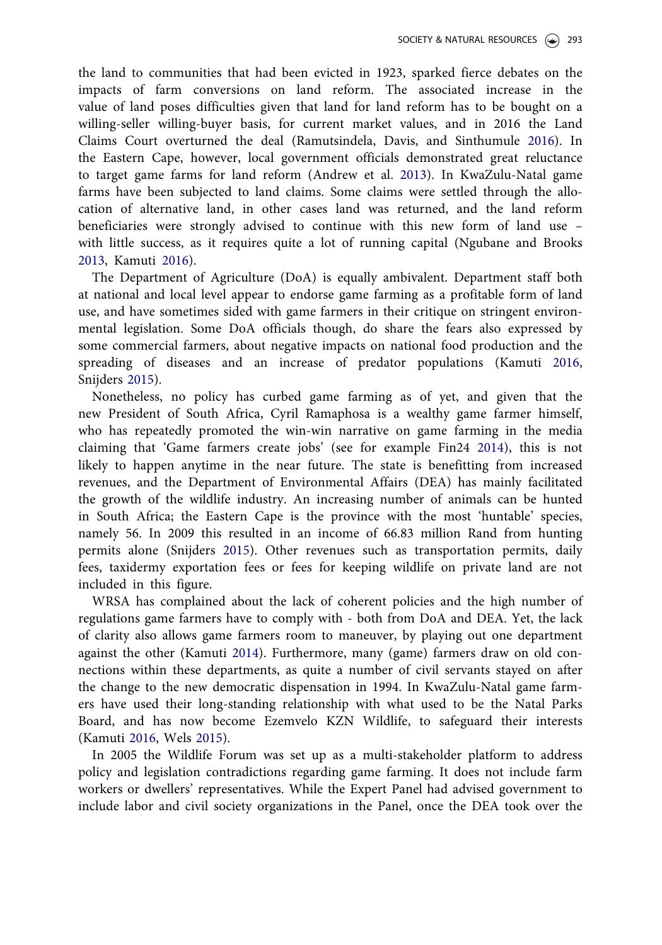<span id="page-13-0"></span>the land to communities that had been evicted in 1923, sparked fierce debates on the impacts of farm conversions on land reform. The associated increase in the value of land poses difficulties given that land for land reform has to be bought on a willing-seller willing-buyer basis, for current market values, and in 2016 the Land Claims Court overturned the deal (Ramutsindela, Davis, and Sinthumule [2016](#page-16-0)). In the Eastern Cape, however, local government officials demonstrated great reluctance to target game farms for land reform (Andrew et al. [2013\)](#page-11-0). In KwaZulu-Natal game farms have been subjected to land claims. Some claims were settled through the allocation of alternative land, in other cases land was returned, and the land reform beneficiaries were strongly advised to continue with this new form of land use – with little success, as it requires quite a lot of running capital (Ngubane and Brooks [2013,](#page-17-0) Kamuti [2016\)](#page-14-0).

The Department of Agriculture (DoA) is equally ambivalent. Department staff both at national and local level appear to endorse game farming as a profitable form of land use, and have sometimes sided with game farmers in their critique on stringent environmental legislation. Some DoA officials though, do share the fears also expressed by some commercial farmers, about negative impacts on national food production and the spreading of diseases and an increase of predator populations (Kamuti [2016](#page-14-0), Snijders 2015).

Nonetheless, no policy has curbed game farming as of yet, and given that the new President of South Africa, Cyril Ramaphosa is a wealthy game farmer himself, who has repeatedly promoted the win-win narrative on game farming in the media claiming that 'Game farmers create jobs' (see for example Fin24 [2014\)](#page-16-0), this is not likely to happen anytime in the near future. The state is benefitting from increased revenues, and the Department of Environmental Affairs (DEA) has mainly facilitated the growth of the wildlife industry. An increasing number of animals can be hunted in South Africa; the Eastern Cape is the province with the most 'huntable' species, namely 56. In 2009 this resulted in an income of 66.83 million Rand from hunting permits alone (Snijders 2015). Other revenues such as transportation permits, daily fees, taxidermy exportation fees or fees for keeping wildlife on private land are not included in this figure.

WRSA has complained about the lack of coherent policies and the high number of regulations game farmers have to comply with - both from DoA and DEA. Yet, the lack of clarity also allows game farmers room to maneuver, by playing out one department against the other (Kamuti [2014\)](#page-15-0). Furthermore, many (game) farmers draw on old connections within these departments, as quite a number of civil servants stayed on after the change to the new democratic dispensation in 1994. In KwaZulu-Natal game farmers have used their long-standing relationship with what used to be the Natal Parks Board, and has now become Ezemvelo KZN Wildlife, to safeguard their interests (Kamuti [2016,](#page-14-0) Wels [2015](#page-16-0)).

In 2005 the Wildlife Forum was set up as a multi-stakeholder platform to address policy and legislation contradictions regarding game farming. It does not include farm workers or dwellers' representatives. While the Expert Panel had advised government to include labor and civil society organizations in the Panel, once the DEA took over the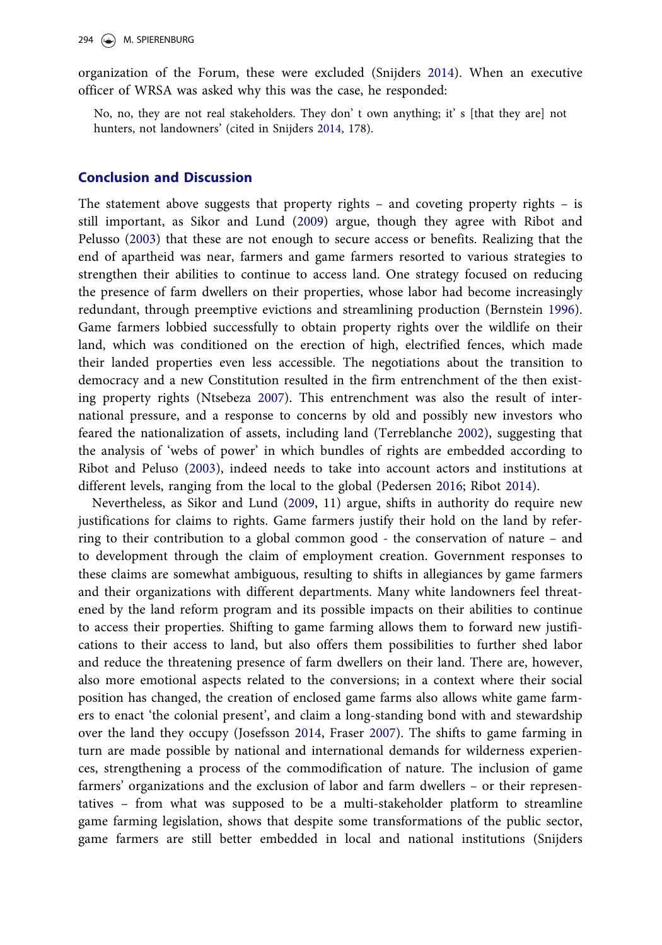<span id="page-14-0"></span>294 M. SPIERENBURG

organization of the Forum, these were excluded (Snijders [2014\)](#page-11-0). When an executive officer of WRSA was asked why this was the case, he responded:

No, no, they are not real stakeholders. They don't own anything; it' s [that they are] not hunters, not landowners' (cited in Snijders [2014,](#page-11-0) 178).

## Conclusion and Discussion

The statement above suggests that property rights – and coveting property rights – is still important, as Sikor and Lund [\(2009](#page-12-0)) argue, though they agree with Ribot and Pelusso ([2003\)](#page-10-0) that these are not enough to secure access or benefits. Realizing that the end of apartheid was near, farmers and game farmers resorted to various strategies to strengthen their abilities to continue to access land. One strategy focused on reducing the presence of farm dwellers on their properties, whose labor had become increasingly redundant, through preemptive evictions and streamlining production (Bernstein [1996](#page-13-0)). Game farmers lobbied successfully to obtain property rights over the wildlife on their land, which was conditioned on the erection of high, electrified fences, which made their landed properties even less accessible. The negotiations about the transition to democracy and a new Constitution resulted in the firm entrenchment of the then existing property rights (Ntsebeza [2007](#page-16-0)). This entrenchment was also the result of international pressure, and a response to concerns by old and possibly new investors who feared the nationalization of assets, including land (Terreblanche [2002](#page-18-0)), suggesting that the analysis of 'webs of power' in which bundles of rights are embedded according to Ribot and Peluso [\(2003](#page-10-0)), indeed needs to take into account actors and institutions at different levels, ranging from the local to the global (Pedersen [2016](#page-16-0); Ribot [2014](#page-15-0)).

Nevertheless, as Sikor and Lund [\(2009,](#page-12-0) 11) argue, shifts in authority do require new justifications for claims to rights. Game farmers justify their hold on the land by referring to their contribution to a global common good - the conservation of nature – and to development through the claim of employment creation. Government responses to these claims are somewhat ambiguous, resulting to shifts in allegiances by game farmers and their organizations with different departments. Many white landowners feel threatened by the land reform program and its possible impacts on their abilities to continue to access their properties. Shifting to game farming allows them to forward new justifications to their access to land, but also offers them possibilities to further shed labor and reduce the threatening presence of farm dwellers on their land. There are, however, also more emotional aspects related to the conversions; in a context where their social position has changed, the creation of enclosed game farms also allows white game farmers to enact 'the colonial present', and claim a long-standing bond with and stewardship over the land they occupy (Josefsson [2014,](#page-13-0) Fraser [2007](#page-13-0)). The shifts to game farming in turn are made possible by national and international demands for wilderness experiences, strengthening a process of the commodification of nature. The inclusion of game farmers' organizations and the exclusion of labor and farm dwellers – or their representatives – from what was supposed to be a multi-stakeholder platform to streamline game farming legislation, shows that despite some transformations of the public sector, game farmers are still better embedded in local and national institutions (Snijders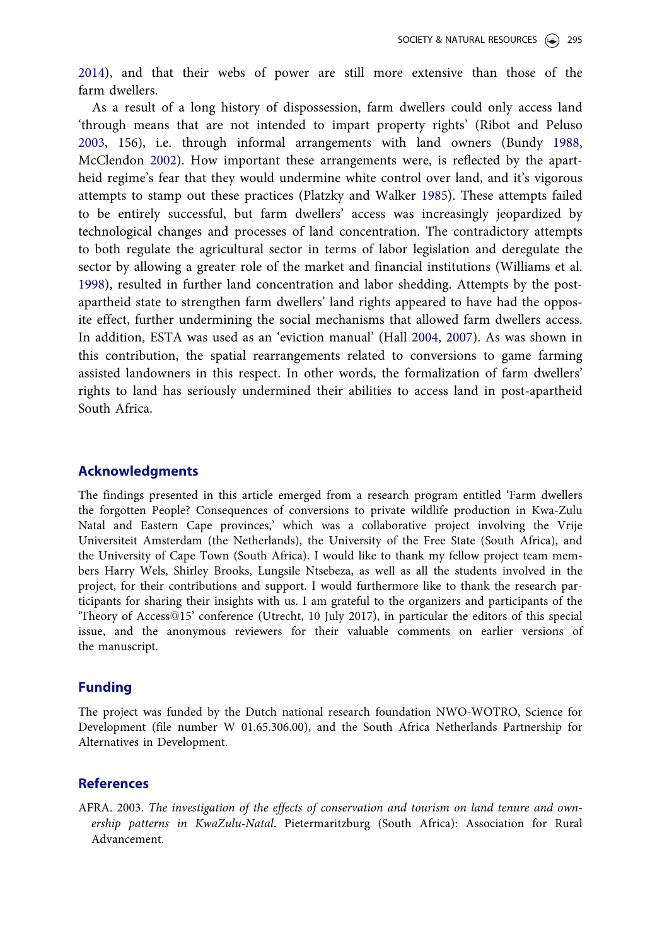<span id="page-15-0"></span>[2014\)](#page-11-0), and that their webs of power are still more extensive than those of the farm dwellers.

As a result of a long history of dispossession, farm dwellers could only access land 'through means that are not intended to impart property rights' (Ribot and Peluso [2003,](#page-10-0) 156), i.e. through informal arrangements with land owners (Bundy [1988](#page-12-0), McClendon [2002](#page-12-0)). How important these arrangements were, is reflected by the apartheid regime's fear that they would undermine white control over land, and it's vigorous attempts to stamp out these practices (Platzky and Walker 1985). These attempts failed to be entirely successful, but farm dwellers' access was increasingly jeopardized by technological changes and processes of land concentration. The contradictory attempts to both regulate the agricultural sector in terms of labor legislation and deregulate the sector by allowing a greater role of the market and financial institutions (Williams et al. [1998\)](#page-17-0), resulted in further land concentration and labor shedding. Attempts by the postapartheid state to strengthen farm dwellers' land rights appeared to have had the opposite effect, further undermining the social mechanisms that allowed farm dwellers access. In addition, ESTA was used as an 'eviction manual' (Hall [2004,](#page-14-0) [2007\)](#page-13-0). As was shown in this contribution, the spatial rearrangements related to conversions to game farming assisted landowners in this respect. In other words, the formalization of farm dwellers' rights to land has seriously undermined their abilities to access land in post-apartheid South Africa.

## Acknowledgments

The findings presented in this article emerged from a research program entitled 'Farm dwellers the forgotten People? Consequences of conversions to private wildlife production in Kwa-Zulu Natal and Eastern Cape provinces,' which was a collaborative project involving the Vrije Universiteit Amsterdam (the Netherlands), the University of the Free State (South Africa), and the University of Cape Town (South Africa). I would like to thank my fellow project team members Harry Wels, Shirley Brooks, Lungsile Ntsebeza, as well as all the students involved in the project, for their contributions and support. I would furthermore like to thank the research participants for sharing their insights with us. I am grateful to the organizers and participants of the 'Theory of Access@15' conference (Utrecht, 10 July 2017), in particular the editors of this special issue, and the anonymous reviewers for their valuable comments on earlier versions of the manuscript.

## Funding

The project was funded by the Dutch national research foundation NWO-WOTRO, Science for Development (file number W 01.65.306.00), and the South Africa Netherlands Partnership for Alternatives in Development.

## References

AFRA. [2003](#page-0-0). The investigation of the effects of conservation and tourism on land tenure and ownership patterns in KwaZulu-Natal. Pietermaritzburg (South Africa): Association for Rural Advancement.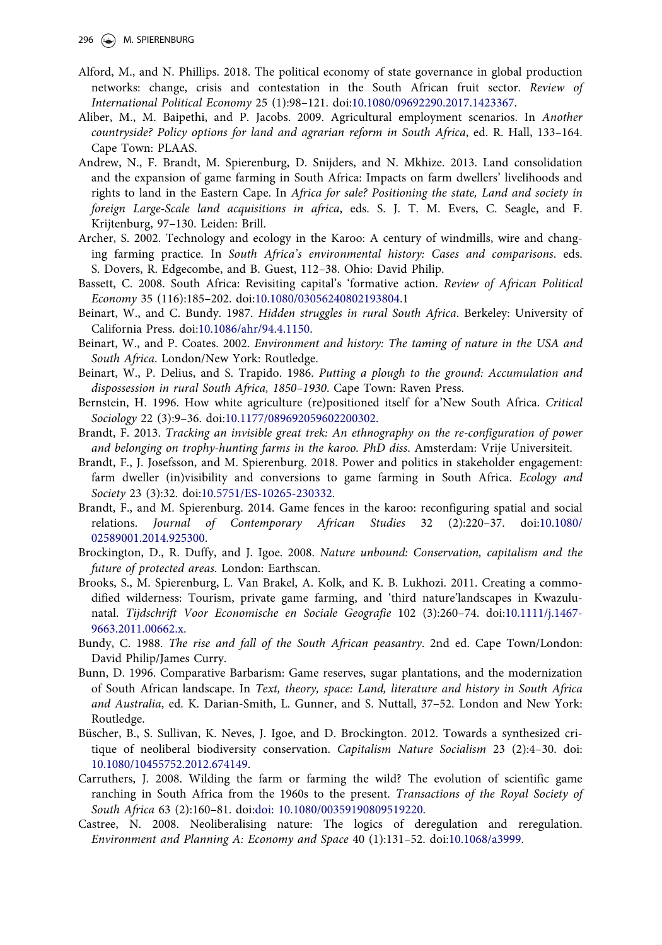- <span id="page-16-0"></span>Alford, M., and N. Phillips. [2018.](#page-5-0) The political economy of state governance in global production networks: change, crisis and contestation in the South African fruit sector. Review of International Political Economy 25 (1):98–121. doi:[10.1080/09692290.2017.1423367.](https://doi.org/10.1080/09692290.2017.1423367)
- Aliber, M., M. Baipethi, and P. Jacobs. [2009.](#page-5-0) Agricultural employment scenarios. In Another countryside? Policy options for land and agrarian reform in South Africa, ed. R. Hall, 133–164. Cape Town: PLAAS.
- Andrew, N., F. Brandt, M. Spierenburg, D. Snijders, and N. Mkhize. [2013](#page-5-0). Land consolidation and the expansion of game farming in South Africa: Impacts on farm dwellers' livelihoods and rights to land in the Eastern Cape. In Africa for sale? Positioning the state, Land and society in foreign Large-Scale land acquisitions in africa, eds. S. J. T. M. Evers, C. Seagle, and F. Krijtenburg, 97–130. Leiden: Brill.
- Archer, S. [2002](#page-3-0). Technology and ecology in the Karoo: A century of windmills, wire and changing farming practice. In South Africa's environmental history: Cases and comparisons. eds. S. Dovers, R. Edgecombe, and B. Guest, 112–38. Ohio: David Philip.
- Bassett, C. [2008.](#page-5-0) South Africa: Revisiting capital's 'formative action. Review of African Political Economy 35 (116):185–202. doi[:10.1080/03056240802193804](https://doi.org/10.1080/03056240802193804).1
- Beinart, W., and C. Bundy. [1987.](#page-3-0) Hidden struggles in rural South Africa. Berkeley: University of California Press. doi:[10.1086/ahr/94.4.1150.](https://doi.org/10.1086/ahr/94.4.1150)
- Beinart, W., and P. Coates. [2002](#page-9-0). Environment and history: The taming of nature in the USA and South Africa. London/New York: Routledge.
- Beinart, W., P. Delius, and S. Trapido. [1986.](#page-3-0) Putting a plough to the ground: Accumulation and dispossession in rural South Africa, 1850–1930. Cape Town: Raven Press.
- Bernstein, H. [1996](#page-4-0). How white agriculture (re)positioned itself for a'New South Africa. Critical Sociology 22 (3):9–36. doi[:10.1177/089692059602200302](https://doi.org/10.1177/089692059602200302).
- Brandt, F. [2013](#page-0-0). Tracking an invisible great trek: An ethnography on the re-configuration of power and belonging on trophy-hunting farms in the karoo. PhD diss. Amsterdam: Vrije Universiteit.
- Brandt, F., J. Josefsson, and M. Spierenburg. [2018](#page-2-0). Power and politics in stakeholder engagement: farm dweller (in)visibility and conversions to game farming in South Africa. Ecology and Society 23 (3):32. doi[:10.5751/ES-10265-230332.](https://doi.org/10.5751/ES-10265-230332)
- Brandt, F., and M. Spierenburg. [2014.](#page-0-0) Game fences in the karoo: reconfiguring spatial and social relations. Journal of Contemporary African Studies 32 (2):220–37. doi:[10.1080/](https://doi.org/10.1080/02589001.2014.925300) [02589001.2014.925300.](https://doi.org/10.1080/02589001.2014.925300)
- Brockington, D., R. Duffy, and J. Igoe. [2008](#page-9-0). Nature unbound: Conservation, capitalism and the future of protected areas. London: Earthscan.
- Brooks, S., M. Spierenburg, L. Van Brakel, A. Kolk, and K. B. Lukhozi. [2011](#page-3-0). Creating a commodified wilderness: Tourism, private game farming, and 'third nature'landscapes in Kwazulunatal. Tijdschrift Voor Economische en Sociale Geografie 102 (3):260–74. doi:[10.1111/j.1467-](https://doi.org/10.1111/j.1467-9663.2011.00662.x) [9663.2011.00662.x.](https://doi.org/10.1111/j.1467-9663.2011.00662.x)
- Bundy, C. [1988.](#page-0-0) The rise and fall of the South African peasantry. 2nd ed. Cape Town/London: David Philip/James Curry.
- Bunn, D. [1996.](#page-8-0) Comparative Barbarism: Game reserves, sugar plantations, and the modernization of South African landscape. In Text, theory, space: Land, literature and history in South Africa and Australia, ed. K. Darian-Smith, L. Gunner, and S. Nuttall, 37–52. London and New York: Routledge.
- Büscher, B., S. Sullivan, K. Neves, J. Igoe, and D. Brockington. [2012.](#page-8-0) Towards a synthesized critique of neoliberal biodiversity conservation. Capitalism Nature Socialism 23 (2):4–30. doi: [10.1080/10455752.2012.674149.](https://doi.org/10.1080/10455752.2012.674149)
- Carruthers, J. [2008.](#page-6-0) Wilding the farm or farming the wild? The evolution of scientific game ranching in South Africa from the 1960s to the present. Transactions of the Royal Society of South Africa 63 (2):160–81. doi[:doi: 10.1080/00359190809519220.](https://doi.org/doi: 10.1080/00359190809519220)
- Castree, N. [2008](#page-8-0). Neoliberalising nature: The logics of deregulation and reregulation. Environment and Planning A: Economy and Space 40 (1):131–52. doi:[10.1068/a3999.](https://doi.org/10.1068/a3999)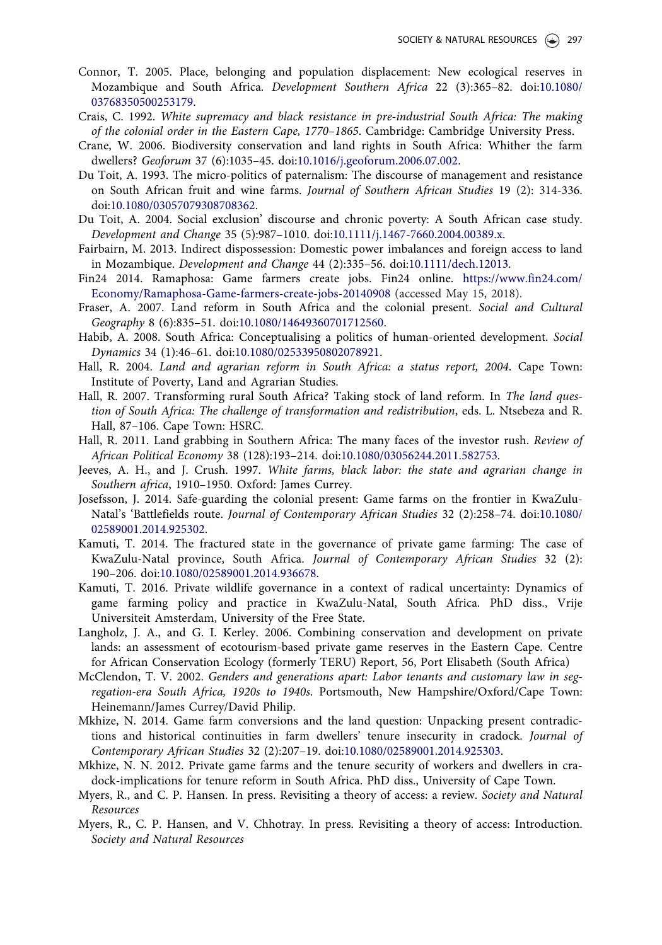- <span id="page-17-0"></span>Connor, T. [2005.](#page-11-0) Place, belonging and population displacement: New ecological reserves in Mozambique and South Africa. Development Southern Africa 22 (3):365–82. doi:[10.1080/](https://doi.org/10.1080/03768350500253179) [03768350500253179](https://doi.org/10.1080/03768350500253179).
- Crais, C. [1992](#page-3-0). White supremacy and black resistance in pre-industrial South Africa: The making of the colonial order in the Eastern Cape, 1770–1865. Cambridge: Cambridge University Press.
- Crane, W. [2006.](#page-11-0) Biodiversity conservation and land rights in South Africa: Whither the farm dwellers? Geoforum 37 (6):1035–45. doi[:10.1016/j.geoforum.2006.07.002.](https://doi.org/10.1016/j.geoforum.2006.07.002)
- Du Toit, A. [1993](#page-3-0). The micro-politics of paternalism: The discourse of management and resistance on South African fruit and wine farms. Journal of Southern African Studies 19 (2): 314-336. doi[:10.1080/03057079308708362](https://doi.org/10.1080/03057079308708362).
- Du Toit, A. [2004.](#page-3-0) Social exclusion' discourse and chronic poverty: A South African case study. Development and Change 35 (5):987–1010. doi:[10.1111/j.1467-7660.2004.00389.x.](https://doi.org/10.1111/j.1467-7660.2004.00389.x)
- Fairbairn, M. [2013](#page-1-0). Indirect dispossession: Domestic power imbalances and foreign access to land in Mozambique. Development and Change 44 (2):335–56. doi[:10.1111/dech.12013.](https://doi.org/10.1111/dech.12013)
- Fin24 [2014.](#page-12-0) Ramaphosa: Game farmers create jobs. Fin24 online. [https://www.fin24.com/](https://www.fin24.com/Economy/Ramaphosa-Game-farmers-create-jobs-20140908) [Economy/Ramaphosa-Game-farmers-create-jobs-20140908](https://www.fin24.com/Economy/Ramaphosa-Game-farmers-create-jobs-20140908) (accessed May 15, 2018).
- Fraser, A. [2007.](#page-0-0) Land reform in South Africa and the colonial present. Social and Cultural Geography 8 (6):835–51. doi:[10.1080/14649360701712560](https://doi.org/10.1080/14649360701712560).
- Habib, A. [2008](#page-5-0). South Africa: Conceptualising a politics of human-oriented development. Social Dynamics 34 (1):46–61. doi:[10.1080/02533950802078921](https://doi.org/10.1080/02533950802078921).
- Hall, R. [2004](#page-4-0). Land and agrarian reform in South Africa: a status report, 2004. Cape Town: Institute of Poverty, Land and Agrarian Studies.
- Hall, R. [2007.](#page-0-0) Transforming rural South Africa? Taking stock of land reform. In The land question of South Africa: The challenge of transformation and redistribution, eds. L. Ntsebeza and R. Hall, 87–106. Cape Town: HSRC.
- Hall, R. [2011](#page-11-0). Land grabbing in Southern Africa: The many faces of the investor rush. Review of African Political Economy 38 (128):193–214. doi:[10.1080/03056244.2011.582753.](https://doi.org/10.1080/03056244.2011.582753)
- Jeeves, A. H., and J. Crush. [1997.](#page-0-0) White farms, black labor: the state and agrarian change in Southern africa, 1910–1950. Oxford: James Currey.
- Josefsson, J. [2014.](#page-0-0) Safe-guarding the colonial present: Game farms on the frontier in KwaZulu-Natal's 'Battlefields route. Journal of Contemporary African Studies 32 (2):258–74. doi:[10.1080/](https://doi.org/10.1080/02589001.2014.925302) [02589001.2014.925302.](https://doi.org/10.1080/02589001.2014.925302)
- Kamuti, T. [2014.](#page-10-0) The fractured state in the governance of private game farming: The case of KwaZulu-Natal province, South Africa. Journal of Contemporary African Studies 32 (2): 190–206. doi:[10.1080/02589001.2014.936678.](https://doi.org/10.1080/02589001.2014.936678)
- Kamuti, T. [2016.](#page-12-0) Private wildlife governance in a context of radical uncertainty: Dynamics of game farming policy and practice in KwaZulu-Natal, South Africa. PhD diss., Vrije Universiteit Amsterdam, University of the Free State.
- Langholz, J. A., and G. I. Kerley. [2006.](#page-0-0) Combining conservation and development on private lands: an assessment of ecotourism-based private game reserves in the Eastern Cape. Centre for African Conservation Ecology (formerly TERU) Report, 56, Port Elisabeth (South Africa)
- McClendon, T. V. [2002.](#page-0-0) Genders and generations apart: Labor tenants and customary law in segregation-era South Africa, 1920s to 1940s. Portsmouth, New Hampshire/Oxford/Cape Town: Heinemann/James Currey/David Philip.
- Mkhize, N. [2014](#page-2-0). Game farm conversions and the land question: Unpacking present contradictions and historical continuities in farm dwellers' tenure insecurity in cradock. Journal of Contemporary African Studies 32 (2):207–19. doi:[10.1080/02589001.2014.925303](https://doi.org/10.1080/02589001.2014.925303).
- Mkhize, N. N. [2012.](#page-2-0) Private game farms and the tenure security of workers and dwellers in cradock-implications for tenure reform in South Africa. PhD diss., University of Cape Town.
- Myers, R., and C. P. Hansen. In press. Revisiting a theory of access: a review. Society and Natural Resources
- Myers, R., C. P. Hansen, and V. Chhotray. In press. Revisiting a theory of access: Introduction. Society and Natural Resources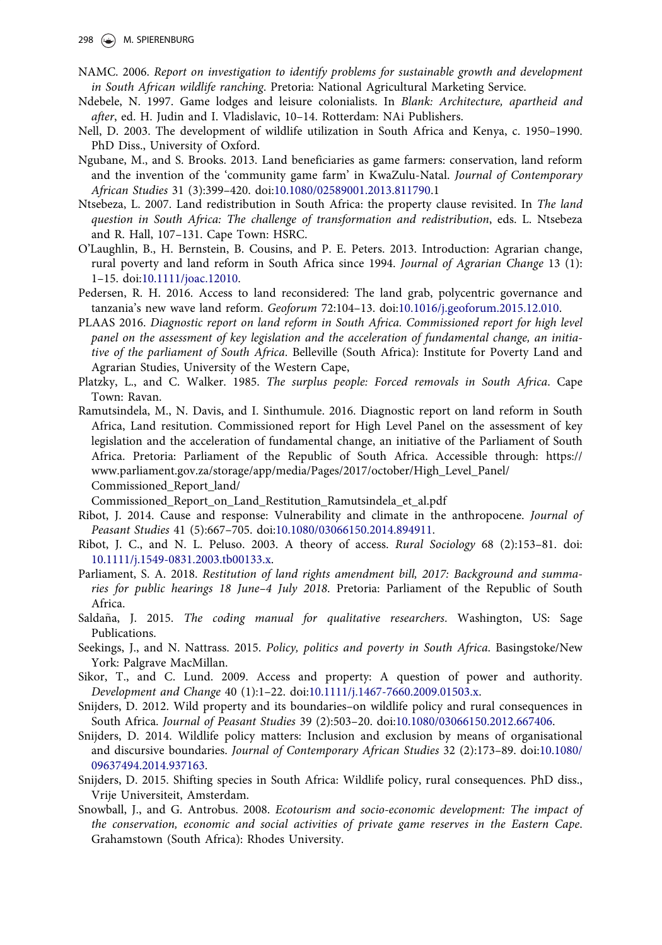- <span id="page-18-0"></span>NAMC. [2006.](#page--1-0) Report on investigation to identify problems for sustainable growth and development in South African wildlife ranching. Pretoria: National Agricultural Marketing Service.
- Ndebele, N. 1997. Game lodges and leisure colonialists. In Blank: Architecture, apartheid and after, ed. H. Judin and I. Vladislavic, 10–14. Rotterdam: NAi Publishers.
- Nell, D. [2003](#page-6-0). The development of wildlife utilization in South Africa and Kenya, c. 1950–1990. PhD Diss., University of Oxford.
- Ngubane, M., and S. Brooks. [2013.](#page-12-0) Land beneficiaries as game farmers: conservation, land reform and the invention of the 'community game farm' in KwaZulu-Natal. Journal of Contemporary African Studies 31 (3):399–420. doi:[10.1080/02589001.2013.811790.](https://doi.org/10.1080/02589001.2013.811790)1
- Ntsebeza, L. [2007.](#page-9-0) Land redistribution in South Africa: the property clause revisited. In The land question in South Africa: The challenge of transformation and redistribution, eds. L. Ntsebeza and R. Hall, 107–131. Cape Town: HSRC.
- O'Laughlin, B., H. Bernstein, B. Cousins, and P. E. Peters. [2013](#page-4-0). Introduction: Agrarian change, rural poverty and land reform in South Africa since 1994. Journal of Agrarian Change 13 (1): 1–15. doi[:10.1111/joac.12010](https://doi.org/10.1111/joac.12010).
- Pedersen, R. H. [2016.](#page-8-0) Access to land reconsidered: The land grab, polycentric governance and tanzania's new wave land reform. Geoforum 72:104-13. doi[:10.1016/j.geoforum.2015.12.010.](https://doi.org/10.1016/j.geoforum.2015.12.010)
- PLAAS [2016](#page-3-0). Diagnostic report on land reform in South Africa. Commissioned report for high level panel on the assessment of key legislation and the acceleration of fundamental change, an initiative of the parliament of South Africa. Belleville (South Africa): Institute for Poverty Land and Agrarian Studies, University of the Western Cape,
- Platzky, L., and C. Walker. [1985.](#page-3-0) The surplus people: Forced removals in South Africa. Cape Town: Ravan.
- Ramutsindela, M., N. Davis, and I. Sinthumule. [2016.](#page-5-0) Diagnostic report on land reform in South Africa, Land resitution. Commissioned report for High Level Panel on the assessment of key legislation and the acceleration of fundamental change, an initiative of the Parliament of South Africa. Pretoria: Parliament of the Republic of South Africa. Accessible through: https:// www.parliament.gov.za/storage/app/media/Pages/2017/october/High\_Level\_Panel/ Commissioned\_Report\_land/

Commissioned\_Report\_on\_Land\_Restitution\_Ramutsindela\_et\_al.pdf

- Ribot, J. [2014](#page-1-0). Cause and response: Vulnerability and climate in the anthropocene. Journal of Peasant Studies 41 (5):667–705. doi:[10.1080/03066150.2014.894911](https://doi.org/10.1080/03066150.2014.894911).
- Ribot, J. C., and N. L. Peluso. [2003.](#page-0-0) A theory of access. Rural Sociology 68 (2):153–81. doi: [10.1111/j.1549-0831.2003.tb00133.x](https://doi.org/10.1111/j.1549-0831.2003.tb00133.x).
- Parliament, S. A. [2018](#page-3-0). Restitution of land rights amendment bill, 2017: Background and summaries for public hearings 18 June–4 July 2018. Pretoria: Parliament of the Republic of South Africa.
- Saldaña, J. [2015](#page-1-0). The coding manual for qualitative researchers. Washington, US: Sage Publications.
- Seekings, J., and N. Nattrass. [2015.](#page-0-0) Policy, politics and poverty in South Africa. Basingstoke/New York: Palgrave MacMillan.
- Sikor, T., and C. Lund. [2009.](#page-0-0) Access and property: A question of power and authority. Development and Change 40 (1):1–22. doi[:10.1111/j.1467-7660.2009.01503.x](https://doi.org/10.1111/j.1467-7660.2009.01503.x).
- Snijders, D. [2012.](#page-6-0) Wild property and its boundaries–on wildlife policy and rural consequences in South Africa. Journal of Peasant Studies 39 (2):503–20. doi[:10.1080/03066150.2012.667406.](https://doi.org/10.1080/03066150.2012.667406)
- Snijders, D. [2014.](#page-6-0) Wildlife policy matters: Inclusion and exclusion by means of organisational and discursive boundaries. Journal of Contemporary African Studies 32 (2):173–89. doi:[10.1080/](https://doi.org/10.1080/09637494.2014.937163) [09637494.2014.937163.](https://doi.org/10.1080/09637494.2014.937163)
- Snijders, D. [2015](#page--1-0). Shifting species in South Africa: Wildlife policy, rural consequences. PhD diss., Vrije Universiteit, Amsterdam.
- Snowball, J., and G. Antrobus. [2008](#page-0-0). Ecotourism and socio-economic development: The impact of the conservation, economic and social activities of private game reserves in the Eastern Cape. Grahamstown (South Africa): Rhodes University.